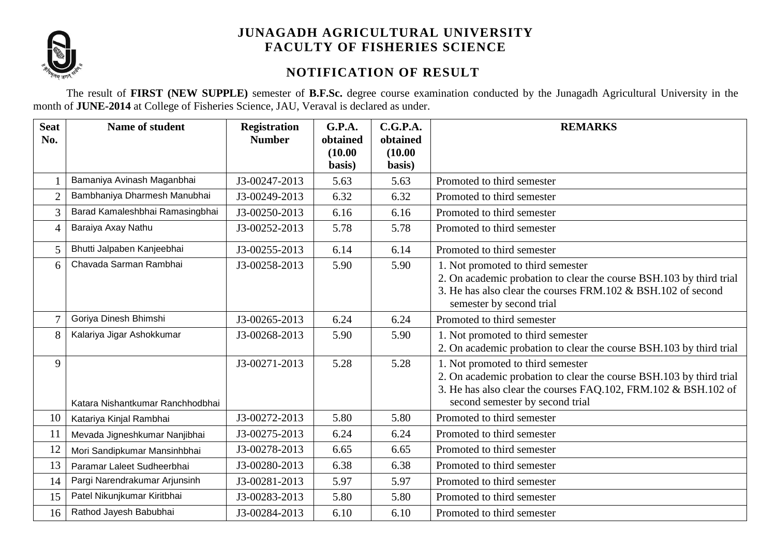

## **JUNAGADH AGRICULTURAL UNIVERSITY FACULTY OF FISHERIES SCIENCE**

## **NOTIFICATION OF RESULT**

The result of **FIRST (NEW SUPPLE)** semester of **B.F.Sc.** degree course examination conducted by the Junagadh Agricultural University in the month of **JUNE-2014** at College of Fisheries Science, JAU, Veraval is declared as under.

| <b>Seat</b><br>No. | Name of student                  | <b>Registration</b><br><b>Number</b> | G.P.A.<br>obtained<br>(10.00)<br>basis) | C.G.P.A.<br>obtained<br>(10.00)<br>basis) | <b>REMARKS</b>                                                                                                                                                                                                |
|--------------------|----------------------------------|--------------------------------------|-----------------------------------------|-------------------------------------------|---------------------------------------------------------------------------------------------------------------------------------------------------------------------------------------------------------------|
|                    | Bamaniya Avinash Maganbhai       | J3-00247-2013                        | 5.63                                    | 5.63                                      | Promoted to third semester                                                                                                                                                                                    |
| $\overline{2}$     | Bambhaniya Dharmesh Manubhai     | J3-00249-2013                        | 6.32                                    | 6.32                                      | Promoted to third semester                                                                                                                                                                                    |
| 3                  | Barad Kamaleshbhai Ramasingbhai  | J3-00250-2013                        | 6.16                                    | 6.16                                      | Promoted to third semester                                                                                                                                                                                    |
| $\overline{4}$     | Baraiya Axay Nathu               | J3-00252-2013                        | 5.78                                    | 5.78                                      | Promoted to third semester                                                                                                                                                                                    |
| 5                  | Bhutti Jalpaben Kanjeebhai       | J3-00255-2013                        | 6.14                                    | 6.14                                      | Promoted to third semester                                                                                                                                                                                    |
| 6                  | Chavada Sarman Rambhai           | J3-00258-2013                        | 5.90                                    | 5.90                                      | 1. Not promoted to third semester<br>2. On academic probation to clear the course BSH.103 by third trial<br>3. He has also clear the courses FRM.102 & BSH.102 of second<br>semester by second trial          |
| $\overline{7}$     | Goriya Dinesh Bhimshi            | J3-00265-2013                        | 6.24                                    | 6.24                                      | Promoted to third semester                                                                                                                                                                                    |
| 8                  | Kalariya Jigar Ashokkumar        | J3-00268-2013                        | 5.90                                    | 5.90                                      | 1. Not promoted to third semester<br>2. On academic probation to clear the course BSH.103 by third trial                                                                                                      |
| 9                  | Katara Nishantkumar Ranchhodbhai | J3-00271-2013                        | 5.28                                    | 5.28                                      | 1. Not promoted to third semester<br>2. On academic probation to clear the course BSH.103 by third trial<br>3. He has also clear the courses FAQ.102, FRM.102 & BSH.102 of<br>second semester by second trial |
| 10                 | Katariya Kinjal Rambhai          | J3-00272-2013                        | 5.80                                    | 5.80                                      | Promoted to third semester                                                                                                                                                                                    |
| 11                 | Mevada Jigneshkumar Nanjibhai    | J3-00275-2013                        | 6.24                                    | 6.24                                      | Promoted to third semester                                                                                                                                                                                    |
| 12                 | Mori Sandipkumar Mansinhbhai     | J3-00278-2013                        | 6.65                                    | 6.65                                      | Promoted to third semester                                                                                                                                                                                    |
| 13                 | Paramar Laleet Sudheerbhai       | J3-00280-2013                        | 6.38                                    | 6.38                                      | Promoted to third semester                                                                                                                                                                                    |
| 14                 | Pargi Narendrakumar Arjunsinh    | J3-00281-2013                        | 5.97                                    | 5.97                                      | Promoted to third semester                                                                                                                                                                                    |
| 15                 | Patel Nikunjkumar Kiritbhai      | J3-00283-2013                        | 5.80                                    | 5.80                                      | Promoted to third semester                                                                                                                                                                                    |
| 16                 | Rathod Jayesh Babubhai           | J3-00284-2013                        | 6.10                                    | 6.10                                      | Promoted to third semester                                                                                                                                                                                    |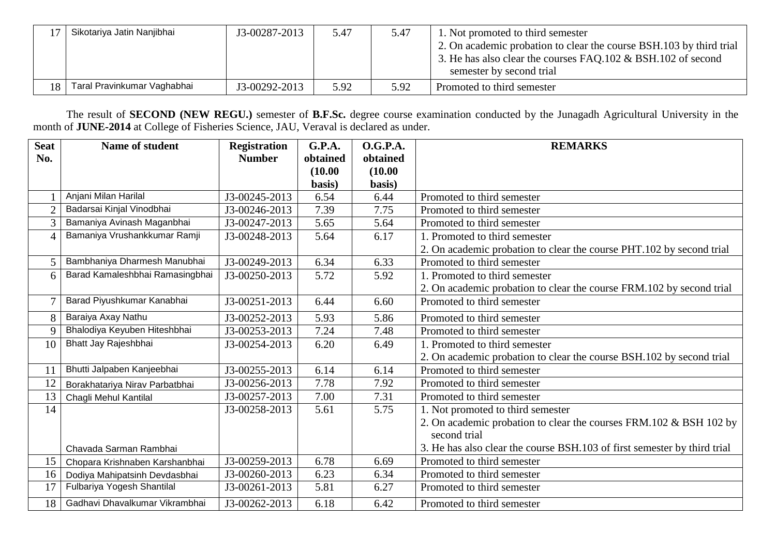|    | Sikotariya Jatin Nanjibhai  | J3-00287-2013 | 5.47 | 5.47 | 1. Not promoted to third semester<br>2. On academic probation to clear the course BSH.103 by third trial<br>3. He has also clear the courses FAQ.102 & BSH.102 of second<br>semester by second trial |
|----|-----------------------------|---------------|------|------|------------------------------------------------------------------------------------------------------------------------------------------------------------------------------------------------------|
| 18 | Taral Pravinkumar Vaghabhai | J3-00292-2013 | 5.92 | 5.92 | Promoted to third semester                                                                                                                                                                           |

The result of **SECOND (NEW REGU.)** semester of **B.F.Sc.** degree course examination conducted by the Junagadh Agricultural University in the month of **JUNE-2014** at College of Fisheries Science, JAU, Veraval is declared as under.

| <b>Seat</b><br>No. | <b>Name of student</b>          | <b>Registration</b><br><b>Number</b> | G.P.A.<br>obtained | <b>O.G.P.A.</b><br>obtained | <b>REMARKS</b>                                                           |
|--------------------|---------------------------------|--------------------------------------|--------------------|-----------------------------|--------------------------------------------------------------------------|
|                    |                                 |                                      | (10.00)            | (10.00)                     |                                                                          |
|                    |                                 |                                      | basis)             | basis)                      |                                                                          |
|                    | Anjani Milan Harilal            | J3-00245-2013                        | 6.54               | 6.44                        | Promoted to third semester                                               |
| $\overline{2}$     | Badarsai Kinjal Vinodbhai       | J3-00246-2013                        | 7.39               | 7.75                        | Promoted to third semester                                               |
| 3                  | Bamaniya Avinash Maganbhai      | J3-00247-2013                        | 5.65               | 5.64                        | Promoted to third semester                                               |
| $\overline{4}$     | Bamaniya Vrushankkumar Ramji    | J3-00248-2013                        | 5.64               | 6.17                        | 1. Promoted to third semester                                            |
|                    |                                 |                                      |                    |                             | 2. On academic probation to clear the course PHT.102 by second trial     |
| 5                  | Bambhaniya Dharmesh Manubhai    | J3-00249-2013                        | 6.34               | 6.33                        | Promoted to third semester                                               |
| 6                  | Barad Kamaleshbhai Ramasingbhai | J3-00250-2013                        | 5.72               | 5.92                        | 1. Promoted to third semester                                            |
|                    |                                 |                                      |                    |                             | 2. On academic probation to clear the course FRM.102 by second trial     |
| $\overline{7}$     | Barad Piyushkumar Kanabhai      | J3-00251-2013                        | 6.44               | 6.60                        | Promoted to third semester                                               |
| 8                  | Baraiya Axay Nathu              | J3-00252-2013                        | 5.93               | 5.86                        | Promoted to third semester                                               |
| 9                  | Bhalodiya Keyuben Hiteshbhai    | J3-00253-2013                        | 7.24               | 7.48                        | Promoted to third semester                                               |
| 10                 | Bhatt Jay Rajeshbhai            | J3-00254-2013                        | 6.20               | 6.49                        | 1. Promoted to third semester                                            |
|                    |                                 |                                      |                    |                             | 2. On academic probation to clear the course BSH.102 by second trial     |
| 11                 | Bhutti Jalpaben Kanjeebhai      | J3-00255-2013                        | 6.14               | 6.14                        | Promoted to third semester                                               |
| 12                 | Borakhatariya Nirav Parbatbhai  | J3-00256-2013                        | 7.78               | 7.92                        | Promoted to third semester                                               |
| 13                 | Chagli Mehul Kantilal           | J3-00257-2013                        | 7.00               | 7.31                        | Promoted to third semester                                               |
| 14                 |                                 | J3-00258-2013                        | 5.61               | 5.75                        | 1. Not promoted to third semester                                        |
|                    |                                 |                                      |                    |                             | 2. On academic probation to clear the courses FRM.102 & BSH 102 by       |
|                    |                                 |                                      |                    |                             | second trial                                                             |
|                    | Chavada Sarman Rambhai          |                                      |                    |                             | 3. He has also clear the course BSH.103 of first semester by third trial |
| 15                 | Chopara Krishnaben Karshanbhai  | J3-00259-2013                        | 6.78               | 6.69                        | Promoted to third semester                                               |
| 16                 | Dodiya Mahipatsinh Devdasbhai   | J3-00260-2013                        | 6.23               | 6.34                        | Promoted to third semester                                               |
| 17                 | Fulbariya Yogesh Shantilal      | J3-00261-2013                        | 5.81               | 6.27                        | Promoted to third semester                                               |
| 18                 | Gadhavi Dhavalkumar Vikrambhai  | J3-00262-2013                        | 6.18               | 6.42                        | Promoted to third semester                                               |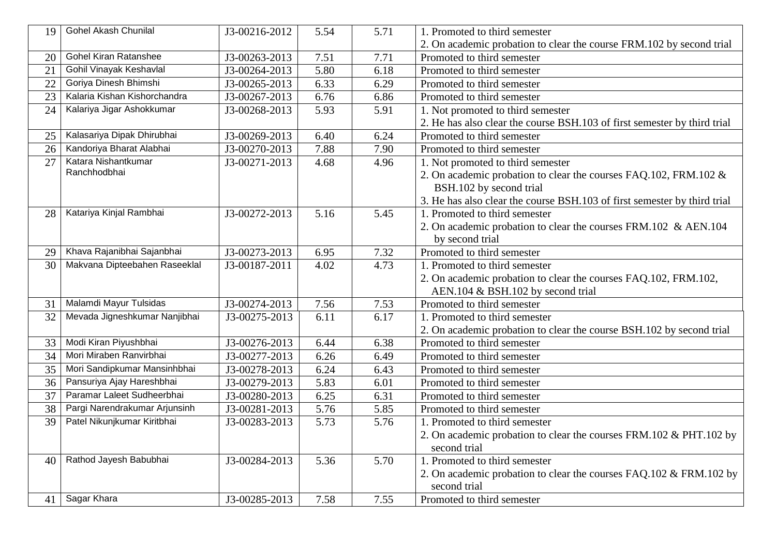| 19 | Gohel Akash Chunilal          | J3-00216-2012 | 5.54 | 5.71 | 1. Promoted to third semester                                            |
|----|-------------------------------|---------------|------|------|--------------------------------------------------------------------------|
|    |                               |               |      |      | 2. On academic probation to clear the course FRM.102 by second trial     |
| 20 | <b>Gohel Kiran Ratanshee</b>  | J3-00263-2013 | 7.51 | 7.71 | Promoted to third semester                                               |
| 21 | Gohil Vinayak Keshavlal       | J3-00264-2013 | 5.80 | 6.18 | Promoted to third semester                                               |
| 22 | Goriya Dinesh Bhimshi         | J3-00265-2013 | 6.33 | 6.29 | Promoted to third semester                                               |
| 23 | Kalaria Kishan Kishorchandra  | J3-00267-2013 | 6.76 | 6.86 | Promoted to third semester                                               |
| 24 | Kalariya Jigar Ashokkumar     | J3-00268-2013 | 5.93 | 5.91 | 1. Not promoted to third semester                                        |
|    |                               |               |      |      | 2. He has also clear the course BSH.103 of first semester by third trial |
| 25 | Kalasariya Dipak Dhirubhai    | J3-00269-2013 | 6.40 | 6.24 | Promoted to third semester                                               |
| 26 | Kandoriya Bharat Alabhai      | J3-00270-2013 | 7.88 | 7.90 | Promoted to third semester                                               |
| 27 | Katara Nishantkumar           | J3-00271-2013 | 4.68 | 4.96 | 1. Not promoted to third semester                                        |
|    | Ranchhodbhai                  |               |      |      | 2. On academic probation to clear the courses FAQ.102, FRM.102 &         |
|    |                               |               |      |      | BSH.102 by second trial                                                  |
|    |                               |               |      |      | 3. He has also clear the course BSH.103 of first semester by third trial |
| 28 | Katariya Kinjal Rambhai       | J3-00272-2013 | 5.16 | 5.45 | 1. Promoted to third semester                                            |
|    |                               |               |      |      | 2. On academic probation to clear the courses FRM.102 & AEN.104          |
|    |                               |               |      |      | by second trial                                                          |
| 29 | Khava Rajanibhai Sajanbhai    | J3-00273-2013 | 6.95 | 7.32 | Promoted to third semester                                               |
| 30 | Makvana Dipteebahen Raseeklal | J3-00187-2011 | 4.02 | 4.73 | 1. Promoted to third semester                                            |
|    |                               |               |      |      | 2. On academic probation to clear the courses FAQ.102, FRM.102,          |
|    |                               |               |      |      | AEN.104 & BSH.102 by second trial                                        |
| 31 | Malamdi Mayur Tulsidas        | J3-00274-2013 | 7.56 | 7.53 | Promoted to third semester                                               |
| 32 | Mevada Jigneshkumar Nanjibhai | J3-00275-2013 | 6.11 | 6.17 | 1. Promoted to third semester                                            |
|    |                               |               |      |      | 2. On academic probation to clear the course BSH.102 by second trial     |
| 33 | Modi Kiran Piyushbhai         | J3-00276-2013 | 6.44 | 6.38 | Promoted to third semester                                               |
| 34 | Mori Miraben Ranvirbhai       | J3-00277-2013 | 6.26 | 6.49 | Promoted to third semester                                               |
| 35 | Mori Sandipkumar Mansinhbhai  | J3-00278-2013 | 6.24 | 6.43 | Promoted to third semester                                               |
| 36 | Pansuriya Ajay Hareshbhai     | J3-00279-2013 | 5.83 | 6.01 | Promoted to third semester                                               |
| 37 | Paramar Laleet Sudheerbhai    | J3-00280-2013 | 6.25 | 6.31 | Promoted to third semester                                               |
| 38 | Pargi Narendrakumar Arjunsinh | J3-00281-2013 | 5.76 | 5.85 | Promoted to third semester                                               |
| 39 | Patel Nikunjkumar Kiritbhai   | J3-00283-2013 | 5.73 | 5.76 | 1. Promoted to third semester                                            |
|    |                               |               |      |      | 2. On academic probation to clear the courses FRM.102 & PHT.102 by       |
|    |                               |               |      |      | second trial                                                             |
| 40 | Rathod Jayesh Babubhai        | J3-00284-2013 | 5.36 | 5.70 | 1. Promoted to third semester                                            |
|    |                               |               |      |      | 2. On academic probation to clear the courses FAQ.102 & FRM.102 by       |
|    |                               |               |      |      | second trial                                                             |
| 41 | Sagar Khara                   | J3-00285-2013 | 7.58 | 7.55 | Promoted to third semester                                               |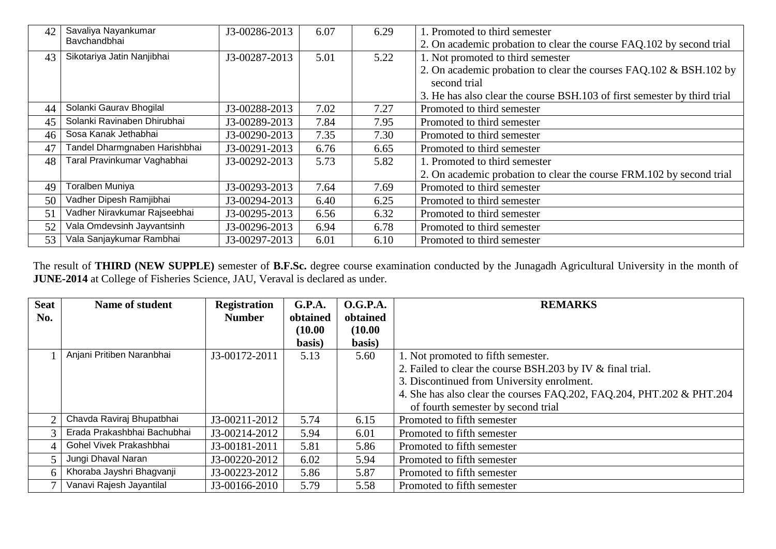| 42 | Savaliya Nayankumar           | J3-00286-2013 | 6.07 | 6.29 | 1. Promoted to third semester                                            |
|----|-------------------------------|---------------|------|------|--------------------------------------------------------------------------|
|    | Bavchandbhai                  |               |      |      | 2. On academic probation to clear the course FAQ.102 by second trial     |
| 43 | Sikotariya Jatin Nanjibhai    | J3-00287-2013 | 5.01 | 5.22 | 1. Not promoted to third semester                                        |
|    |                               |               |      |      | 2. On academic probation to clear the courses FAQ.102 & BSH.102 by       |
|    |                               |               |      |      | second trial                                                             |
|    |                               |               |      |      | 3. He has also clear the course BSH.103 of first semester by third trial |
| 44 | Solanki Gaurav Bhogilal       | J3-00288-2013 | 7.02 | 7.27 | Promoted to third semester                                               |
| 45 | Solanki Ravinaben Dhirubhai   | J3-00289-2013 | 7.84 | 7.95 | Promoted to third semester                                               |
| 46 | Sosa Kanak Jethabhai          | J3-00290-2013 | 7.35 | 7.30 | Promoted to third semester                                               |
| 47 | Tandel Dharmgnaben Harishbhai | J3-00291-2013 | 6.76 | 6.65 | Promoted to third semester                                               |
| 48 | Taral Pravinkumar Vaghabhai   | J3-00292-2013 | 5.73 | 5.82 | 1. Promoted to third semester                                            |
|    |                               |               |      |      | 2. On academic probation to clear the course FRM.102 by second trial     |
| 49 | Toralben Muniya               | J3-00293-2013 | 7.64 | 7.69 | Promoted to third semester                                               |
| 50 | Vadher Dipesh Ramjibhai       | J3-00294-2013 | 6.40 | 6.25 | Promoted to third semester                                               |
| 51 | Vadher Niravkumar Rajseebhai  | J3-00295-2013 | 6.56 | 6.32 | Promoted to third semester                                               |
| 52 | Vala Omdevsinh Jayvantsinh    | J3-00296-2013 | 6.94 | 6.78 | Promoted to third semester                                               |
| 53 | Vala Sanjaykumar Rambhai      | J3-00297-2013 | 6.01 | 6.10 | Promoted to third semester                                               |

The result of **THIRD (NEW SUPPLE)** semester of **B.F.Sc.** degree course examination conducted by the Junagadh Agricultural University in the month of **JUNE-2014** at College of Fisheries Science, JAU, Veraval is declared as under.

| <b>Seat</b> | <b>Name of student</b>      | <b>Registration</b> | G.P.A.   | <b>O.G.P.A.</b> | <b>REMARKS</b>                                                        |
|-------------|-----------------------------|---------------------|----------|-----------------|-----------------------------------------------------------------------|
| No.         |                             | <b>Number</b>       | obtained | obtained        |                                                                       |
|             |                             |                     | (10.00)  | (10.00)         |                                                                       |
|             |                             |                     | basis)   | basis)          |                                                                       |
|             | Anjani Pritiben Naranbhai   | J3-00172-2011       | 5.13     | 5.60            | 1. Not promoted to fifth semester.                                    |
|             |                             |                     |          |                 | 2. Failed to clear the course BSH.203 by IV & final trial.            |
|             |                             |                     |          |                 | 3. Discontinued from University enrolment.                            |
|             |                             |                     |          |                 | 4. She has also clear the courses FAQ.202, FAQ.204, PHT.202 & PHT.204 |
|             |                             |                     |          |                 | of fourth semester by second trial                                    |
|             | Chavda Raviraj Bhupatbhai   | J3-00211-2012       | 5.74     | 6.15            | Promoted to fifth semester                                            |
|             | Erada Prakashbhai Bachubhai | J3-00214-2012       | 5.94     | 6.01            | Promoted to fifth semester                                            |
| 4           | Gohel Vivek Prakashbhai     | J3-00181-2011       | 5.81     | 5.86            | Promoted to fifth semester                                            |
|             | Jungi Dhaval Naran          | J3-00220-2012       | 6.02     | 5.94            | Promoted to fifth semester                                            |
| h           | Khoraba Jayshri Bhagvanji   | J3-00223-2012       | 5.86     | 5.87            | Promoted to fifth semester                                            |
|             | Vanavi Rajesh Jayantilal    | J3-00166-2010       | 5.79     | 5.58            | Promoted to fifth semester                                            |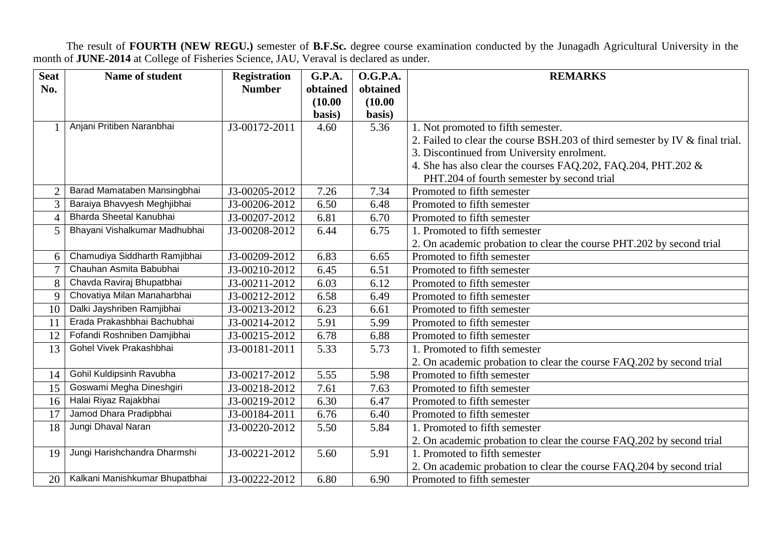The result of **FOURTH (NEW REGU.)** semester of **B.F.Sc.** degree course examination conducted by the Junagadh Agricultural University in the month of **JUNE-2014** at College of Fisheries Science, JAU, Veraval is declared as under.

| <b>Seat</b>    | Name of student                | <b>Registration</b> | <b>G.P.A.</b> | <b>O.G.P.A.</b> | <b>REMARKS</b>                                                               |
|----------------|--------------------------------|---------------------|---------------|-----------------|------------------------------------------------------------------------------|
| No.            |                                | <b>Number</b>       | obtained      | obtained        |                                                                              |
|                |                                |                     | (10.00)       | (10.00)         |                                                                              |
|                |                                |                     | basis)        | basis)          |                                                                              |
| $\mathbf{1}$   | Anjani Pritiben Naranbhai      | J3-00172-2011       | 4.60          | 5.36            | 1. Not promoted to fifth semester.                                           |
|                |                                |                     |               |                 | 2. Failed to clear the course BSH.203 of third semester by IV & final trial. |
|                |                                |                     |               |                 | 3. Discontinued from University enrolment.                                   |
|                |                                |                     |               |                 | 4. She has also clear the courses FAQ.202, FAQ.204, PHT.202 &                |
|                |                                |                     |               |                 | PHT.204 of fourth semester by second trial                                   |
| $\overline{2}$ | Barad Mamataben Mansingbhai    | J3-00205-2012       | 7.26          | 7.34            | Promoted to fifth semester                                                   |
| 3              | Baraiya Bhavyesh Meghjibhai    | J3-00206-2012       | 6.50          | 6.48            | Promoted to fifth semester                                                   |
| $\overline{4}$ | Bharda Sheetal Kanubhai        | J3-00207-2012       | 6.81          | 6.70            | Promoted to fifth semester                                                   |
| 5              | Bhayani Vishalkumar Madhubhai  | J3-00208-2012       | 6.44          | 6.75            | 1. Promoted to fifth semester                                                |
|                |                                |                     |               |                 | 2. On academic probation to clear the course PHT.202 by second trial         |
| 6              | Chamudiya Siddharth Ramjibhai  | J3-00209-2012       | 6.83          | 6.65            | Promoted to fifth semester                                                   |
| $\overline{7}$ | Chauhan Asmita Babubhai        | J3-00210-2012       | 6.45          | 6.51            | Promoted to fifth semester                                                   |
| 8              | Chavda Raviraj Bhupatbhai      | J3-00211-2012       | 6.03          | 6.12            | Promoted to fifth semester                                                   |
| 9              | Chovatiya Milan Manaharbhai    | J3-00212-2012       | 6.58          | 6.49            | Promoted to fifth semester                                                   |
| 10             | Dalki Jayshriben Ramjibhai     | J3-00213-2012       | 6.23          | 6.61            | Promoted to fifth semester                                                   |
| 11             | Erada Prakashbhai Bachubhai    | J3-00214-2012       | 5.91          | 5.99            | Promoted to fifth semester                                                   |
| 12             | Fofandi Roshniben Damjibhai    | J3-00215-2012       | 6.78          | 6.88            | Promoted to fifth semester                                                   |
| 13             | Gohel Vivek Prakashbhai        | J3-00181-2011       | 5.33          | 5.73            | 1. Promoted to fifth semester                                                |
|                |                                |                     |               |                 | 2. On academic probation to clear the course FAQ.202 by second trial         |
| 14             | Gohil Kuldipsinh Ravubha       | J3-00217-2012       | 5.55          | 5.98            | Promoted to fifth semester                                                   |
| 15             | Goswami Megha Dineshgiri       | J3-00218-2012       | 7.61          | 7.63            | Promoted to fifth semester                                                   |
| 16             | Halai Riyaz Rajakbhai          | J3-00219-2012       | 6.30          | 6.47            | Promoted to fifth semester                                                   |
| 17             | Jamod Dhara Pradipbhai         | J3-00184-2011       | 6.76          | 6.40            | Promoted to fifth semester                                                   |
| 18             | Jungi Dhaval Naran             | J3-00220-2012       | 5.50          | 5.84            | 1. Promoted to fifth semester                                                |
|                |                                |                     |               |                 | 2. On academic probation to clear the course FAQ.202 by second trial         |
| 19             | Jungi Harishchandra Dharmshi   | J3-00221-2012       | 5.60          | 5.91            | 1. Promoted to fifth semester                                                |
|                |                                |                     |               |                 | 2. On academic probation to clear the course FAQ.204 by second trial         |
| 20             | Kalkani Manishkumar Bhupatbhai | J3-00222-2012       | 6.80          | 6.90            | Promoted to fifth semester                                                   |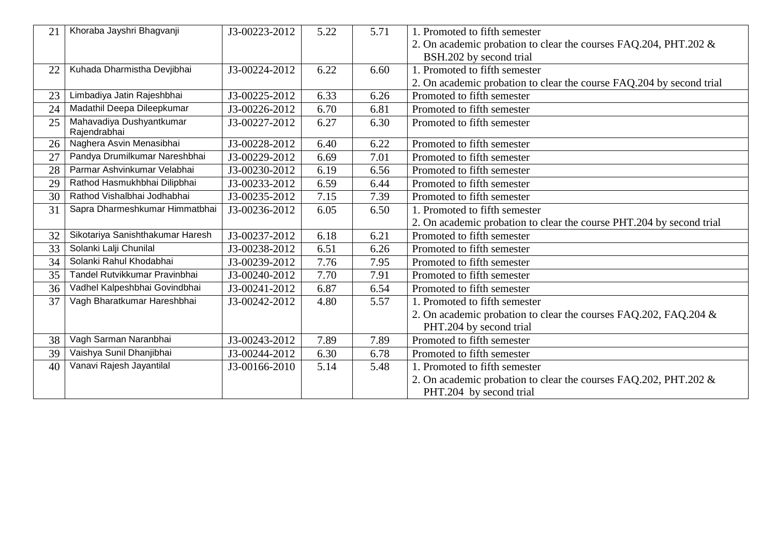| 21 | Khoraba Jayshri Bhagvanji                | J3-00223-2012               | 5.22 | 5.71 | 1. Promoted to fifth semester                                        |
|----|------------------------------------------|-----------------------------|------|------|----------------------------------------------------------------------|
|    |                                          |                             |      |      | 2. On academic probation to clear the courses FAQ.204, PHT.202 &     |
|    |                                          |                             |      |      | BSH.202 by second trial                                              |
| 22 | Kuhada Dharmistha Devjibhai              | J3-00224-2012               | 6.22 | 6.60 | 1. Promoted to fifth semester                                        |
|    |                                          |                             |      |      | 2. On academic probation to clear the course FAQ.204 by second trial |
| 23 | Limbadiya Jatin Rajeshbhai               | J3-00225-2012               | 6.33 | 6.26 | Promoted to fifth semester                                           |
| 24 | Madathil Deepa Dileepkumar               | J3-00226-2012               | 6.70 | 6.81 | Promoted to fifth semester                                           |
| 25 | Mahavadiya Dushyantkumar<br>Rajendrabhai | J3-00227-2012               | 6.27 | 6.30 | Promoted to fifth semester                                           |
| 26 | Naghera Asvin Menasibhai                 | J3-00228-2012               | 6.40 | 6.22 | Promoted to fifth semester                                           |
| 27 | Pandya Drumilkumar Nareshbhai            | J3-00229-2012               | 6.69 | 7.01 | Promoted to fifth semester                                           |
| 28 | Parmar Ashvinkumar Velabhai              | J3-00230-2012               | 6.19 | 6.56 | Promoted to fifth semester                                           |
| 29 | Rathod Hasmukhbhai Dilipbhai             | $\overline{J3}$ -00233-2012 | 6.59 | 6.44 | Promoted to fifth semester                                           |
| 30 | Rathod Vishalbhai Jodhabhai              | J3-00235-2012               | 7.15 | 7.39 | Promoted to fifth semester                                           |
| 31 | Sapra Dharmeshkumar Himmatbhai           | J3-00236-2012               | 6.05 | 6.50 | 1. Promoted to fifth semester                                        |
|    |                                          |                             |      |      | 2. On academic probation to clear the course PHT.204 by second trial |
| 32 | Sikotariya Sanishthakumar Haresh         | J3-00237-2012               | 6.18 | 6.21 | Promoted to fifth semester                                           |
| 33 | Solanki Lalji Chunilal                   | J3-00238-2012               | 6.51 | 6.26 | Promoted to fifth semester                                           |
| 34 | Solanki Rahul Khodabhai                  | J3-00239-2012               | 7.76 | 7.95 | Promoted to fifth semester                                           |
| 35 | Tandel Rutvikkumar Pravinbhai            | J3-00240-2012               | 7.70 | 7.91 | Promoted to fifth semester                                           |
| 36 | Vadhel Kalpeshbhai Govindbhai            | J3-00241-2012               | 6.87 | 6.54 | Promoted to fifth semester                                           |
| 37 | Vagh Bharatkumar Hareshbhai              | J3-00242-2012               | 4.80 | 5.57 | 1. Promoted to fifth semester                                        |
|    |                                          |                             |      |      | 2. On academic probation to clear the courses FAQ.202, FAQ.204 &     |
|    |                                          |                             |      |      | PHT.204 by second trial                                              |
| 38 | Vagh Sarman Naranbhai                    | J3-00243-2012               | 7.89 | 7.89 | Promoted to fifth semester                                           |
| 39 | Vaishya Sunil Dhanjibhai                 | J3-00244-2012               | 6.30 | 6.78 | Promoted to fifth semester                                           |
| 40 | Vanavi Rajesh Jayantilal                 | J3-00166-2010               | 5.14 | 5.48 | 1. Promoted to fifth semester                                        |
|    |                                          |                             |      |      | 2. On academic probation to clear the courses FAQ.202, PHT.202 &     |
|    |                                          |                             |      |      | PHT.204 by second trial                                              |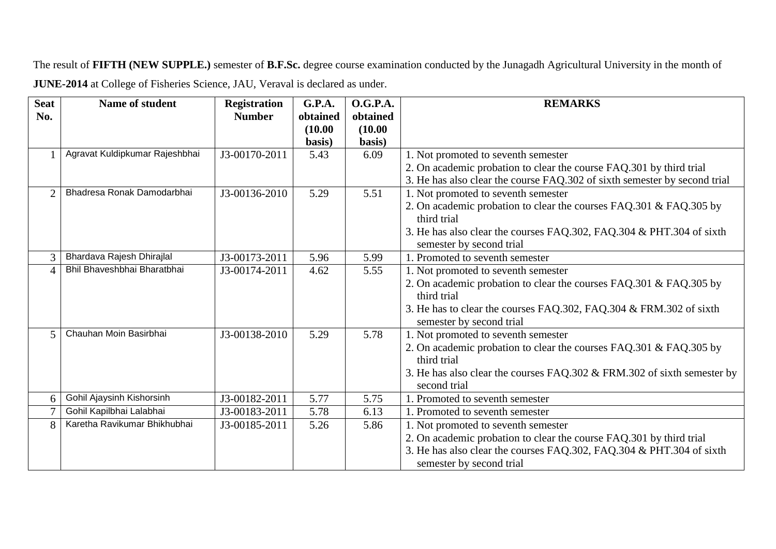The result of **FIFTH (NEW SUPPLE.)** semester of **B.F.Sc.** degree course examination conducted by the Junagadh Agricultural University in the month of **JUNE-2014** at College of Fisheries Science, JAU, Veraval is declared as under.

| <b>Seat</b>    | Name of student                | <b>Registration</b> | <b>G.P.A.</b> | <b>O.G.P.A.</b> | <b>REMARKS</b>                                                                                   |
|----------------|--------------------------------|---------------------|---------------|-----------------|--------------------------------------------------------------------------------------------------|
| No.            |                                | <b>Number</b>       | obtained      | obtained        |                                                                                                  |
|                |                                |                     | (10.00)       | (10.00)         |                                                                                                  |
|                |                                |                     | basis)        | basis)          |                                                                                                  |
| $\mathbf{1}$   | Agravat Kuldipkumar Rajeshbhai | J3-00170-2011       | 5.43          | 6.09            | 1. Not promoted to seventh semester                                                              |
|                |                                |                     |               |                 | 2. On academic probation to clear the course FAQ.301 by third trial                              |
|                |                                |                     |               |                 | 3. He has also clear the course FAQ.302 of sixth semester by second trial                        |
| $\overline{2}$ | Bhadresa Ronak Damodarbhai     | J3-00136-2010       | 5.29          | 5.51            | 1. Not promoted to seventh semester                                                              |
|                |                                |                     |               |                 | 2. On academic probation to clear the courses FAQ.301 & FAQ.305 by<br>third trial                |
|                |                                |                     |               |                 | 3. He has also clear the courses FAQ.302, FAQ.304 & PHT.304 of sixth<br>semester by second trial |
| 3              | Bhardava Rajesh Dhirajlal      | J3-00173-2011       | 5.96          | 5.99            | 1. Promoted to seventh semester                                                                  |
| $\Delta$       | Bhil Bhaveshbhai Bharatbhai    | J3-00174-2011       | 4.62          | 5.55            | 1. Not promoted to seventh semester                                                              |
|                |                                |                     |               |                 | 2. On academic probation to clear the courses FAQ.301 & FAQ.305 by<br>third trial                |
|                |                                |                     |               |                 | 3. He has to clear the courses FAQ.302, FAQ.304 & FRM.302 of sixth<br>semester by second trial   |
| 5              | Chauhan Moin Basirbhai         | J3-00138-2010       | 5.29          | 5.78            | 1. Not promoted to seventh semester                                                              |
|                |                                |                     |               |                 | 2. On academic probation to clear the courses FAQ.301 & FAQ.305 by<br>third trial                |
|                |                                |                     |               |                 | 3. He has also clear the courses FAQ.302 & FRM.302 of sixth semester by                          |
|                |                                |                     |               |                 | second trial                                                                                     |
| 6              | Gohil Ajaysinh Kishorsinh      | J3-00182-2011       | 5.77          | 5.75            | 1. Promoted to seventh semester                                                                  |
| $\tau$         | Gohil Kapilbhai Lalabhai       | J3-00183-2011       | 5.78          | 6.13            | 1. Promoted to seventh semester                                                                  |
| 8              | Karetha Ravikumar Bhikhubhai   | J3-00185-2011       | 5.26          | 5.86            | 1. Not promoted to seventh semester                                                              |
|                |                                |                     |               |                 | 2. On academic probation to clear the course FAQ.301 by third trial                              |
|                |                                |                     |               |                 | 3. He has also clear the courses FAQ.302, FAQ.304 & PHT.304 of sixth                             |
|                |                                |                     |               |                 | semester by second trial                                                                         |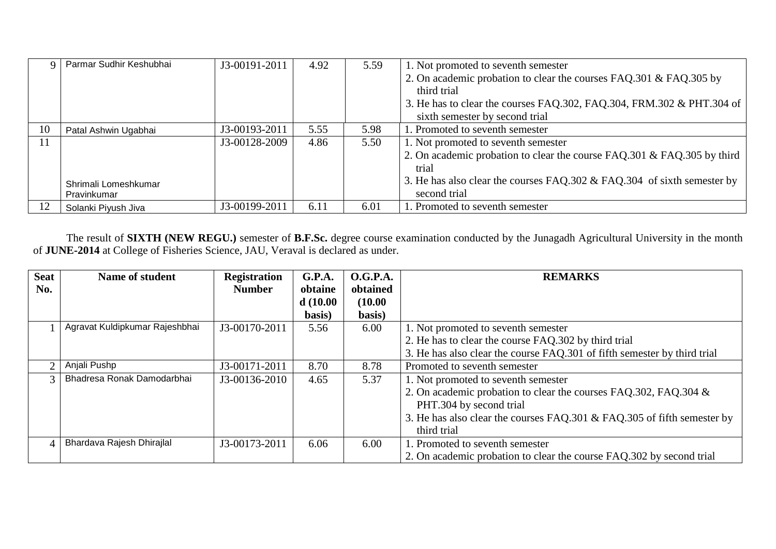|               | Parmar Sudhir Keshubhai | J3-00191-2011 | 4.92 | 5.59 | 1. Not promoted to seventh semester                                     |
|---------------|-------------------------|---------------|------|------|-------------------------------------------------------------------------|
|               |                         |               |      |      | 2. On academic probation to clear the courses FAQ.301 & FAQ.305 by      |
|               |                         |               |      |      | third trial                                                             |
|               |                         |               |      |      | 3. He has to clear the courses FAQ.302, FAQ.304, FRM.302 & PHT.304 of   |
|               |                         |               |      |      | sixth semester by second trial                                          |
| 10            | Patal Ashwin Ugabhai    | J3-00193-2011 | 5.55 | 5.98 | 1. Promoted to seventh semester                                         |
| <sup>11</sup> |                         | J3-00128-2009 | 4.86 | 5.50 | 1. Not promoted to seventh semester                                     |
|               |                         |               |      |      | 2. On academic probation to clear the course FAQ.301 & FAQ.305 by third |
|               |                         |               |      |      | trial                                                                   |
|               | Shrimali Lomeshkumar    |               |      |      | 3. He has also clear the courses FAQ.302 & FAQ.304 of sixth semester by |
|               | Pravinkumar             |               |      |      | second trial                                                            |
| 12            | Solanki Piyush Jiva     | J3-00199-2011 | 6.11 | 6.01 | 1. Promoted to seventh semester                                         |

The result of **SIXTH (NEW REGU.)** semester of **B.F.Sc.** degree course examination conducted by the Junagadh Agricultural University in the month of **JUNE-2014** at College of Fisheries Science, JAU, Veraval is declared as under.

| <b>Seat</b>                 | Name of student                | <b>Registration</b> | G.P.A.   | <b>O.G.P.A.</b> | <b>REMARKS</b>                                                           |
|-----------------------------|--------------------------------|---------------------|----------|-----------------|--------------------------------------------------------------------------|
| No.                         |                                | <b>Number</b>       | obtaine  | obtained        |                                                                          |
|                             |                                |                     | d(10.00) | (10.00)         |                                                                          |
|                             |                                |                     | basis)   | basis)          |                                                                          |
|                             | Agravat Kuldipkumar Rajeshbhai | J3-00170-2011       | 5.56     | 6.00            | 1. Not promoted to seventh semester                                      |
|                             |                                |                     |          |                 | 2. He has to clear the course FAQ.302 by third trial                     |
|                             |                                |                     |          |                 | 3. He has also clear the course FAQ.301 of fifth semester by third trial |
| $\mathcal{D}_{\mathcal{A}}$ | Anjali Pushp                   | J3-00171-2011       | 8.70     | 8.78            | Promoted to seventh semester                                             |
| 3                           | Bhadresa Ronak Damodarbhai     | J3-00136-2010       | 4.65     | 5.37            | 1. Not promoted to seventh semester                                      |
|                             |                                |                     |          |                 | 2. On academic probation to clear the courses FAQ.302, FAQ.304 &         |
|                             |                                |                     |          |                 | PHT.304 by second trial                                                  |
|                             |                                |                     |          |                 | 3. He has also clear the courses FAQ.301 & FAQ.305 of fifth semester by  |
|                             |                                |                     |          |                 | third trial                                                              |
| $\Delta$                    | Bhardava Rajesh Dhirajlal      | J3-00173-2011       | 6.06     | 6.00            | 1. Promoted to seventh semester                                          |
|                             |                                |                     |          |                 | 2. On academic probation to clear the course FAQ.302 by second trial     |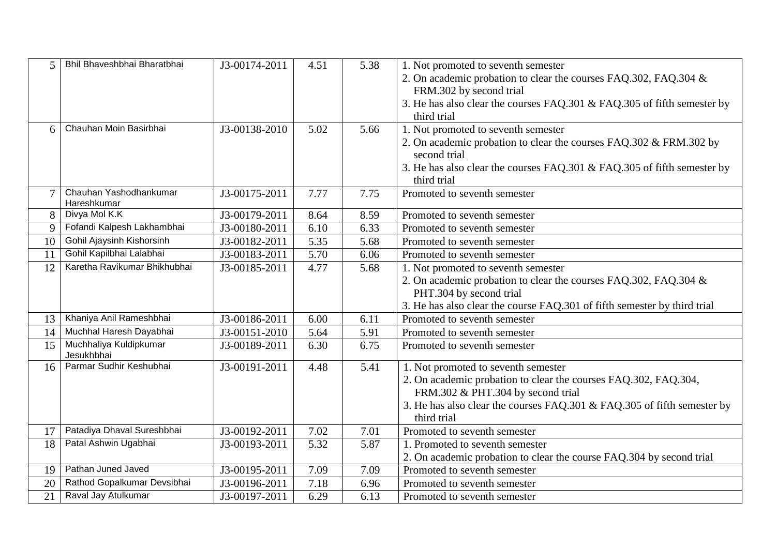| 5      | Bhil Bhaveshbhai Bharatbhai           | J3-00174-2011 | 4.51 | 5.38 | 1. Not promoted to seventh semester                                                    |
|--------|---------------------------------------|---------------|------|------|----------------------------------------------------------------------------------------|
|        |                                       |               |      |      | 2. On academic probation to clear the courses FAQ.302, FAQ.304 &                       |
|        |                                       |               |      |      | FRM.302 by second trial                                                                |
|        |                                       |               |      |      | 3. He has also clear the courses FAQ.301 & FAQ.305 of fifth semester by                |
|        |                                       |               |      |      | third trial                                                                            |
| 6      | Chauhan Moin Basirbhai                | J3-00138-2010 | 5.02 | 5.66 | 1. Not promoted to seventh semester                                                    |
|        |                                       |               |      |      | 2. On academic probation to clear the courses FAQ.302 & FRM.302 by<br>second trial     |
|        |                                       |               |      |      | 3. He has also clear the courses FAQ.301 & FAQ.305 of fifth semester by                |
|        |                                       |               |      |      | third trial                                                                            |
| $\tau$ | Chauhan Yashodhankumar<br>Hareshkumar | J3-00175-2011 | 7.77 | 7.75 | Promoted to seventh semester                                                           |
| 8      | Divya Mol K.K                         | J3-00179-2011 | 8.64 | 8.59 | Promoted to seventh semester                                                           |
| 9      | Fofandi Kalpesh Lakhambhai            | J3-00180-2011 | 6.10 | 6.33 | Promoted to seventh semester                                                           |
| 10     | Gohil Ajaysinh Kishorsinh             | J3-00182-2011 | 5.35 | 5.68 | Promoted to seventh semester                                                           |
| 11     | Gohil Kapilbhai Lalabhai              | J3-00183-2011 | 5.70 | 6.06 | Promoted to seventh semester                                                           |
| 12     | Karetha Ravikumar Bhikhubhai          | J3-00185-2011 | 4.77 | 5.68 | 1. Not promoted to seventh semester                                                    |
|        |                                       |               |      |      | 2. On academic probation to clear the courses FAQ.302, FAQ.304 &                       |
|        |                                       |               |      |      | PHT.304 by second trial                                                                |
|        |                                       |               |      |      | 3. He has also clear the course FAQ.301 of fifth semester by third trial               |
| 13     | Khaniya Anil Rameshbhai               | J3-00186-2011 | 6.00 | 6.11 | Promoted to seventh semester                                                           |
| 14     | Muchhal Haresh Dayabhai               | J3-00151-2010 | 5.64 | 5.91 | Promoted to seventh semester                                                           |
| 15     | Muchhaliya Kuldipkumar<br>Jesukhbhai  | J3-00189-2011 | 6.30 | 6.75 | Promoted to seventh semester                                                           |
| 16     | Parmar Sudhir Keshubhai               | J3-00191-2011 | 4.48 | 5.41 | 1. Not promoted to seventh semester                                                    |
|        |                                       |               |      |      | 2. On academic probation to clear the courses FAQ.302, FAQ.304,                        |
|        |                                       |               |      |      | FRM.302 & PHT.304 by second trial                                                      |
|        |                                       |               |      |      | 3. He has also clear the courses FAQ.301 & FAQ.305 of fifth semester by<br>third trial |
| 17     | Patadiya Dhaval Sureshbhai            | J3-00192-2011 | 7.02 | 7.01 | Promoted to seventh semester                                                           |
| 18     | Patal Ashwin Ugabhai                  | J3-00193-2011 | 5.32 | 5.87 | 1. Promoted to seventh semester                                                        |
|        |                                       |               |      |      | 2. On academic probation to clear the course FAQ.304 by second trial                   |
| 19     | Pathan Juned Javed                    | J3-00195-2011 | 7.09 | 7.09 | Promoted to seventh semester                                                           |
| 20     | Rathod Gopalkumar Devsibhai           | J3-00196-2011 | 7.18 | 6.96 | Promoted to seventh semester                                                           |
| 21     | Raval Jay Atulkumar                   | J3-00197-2011 | 6.29 | 6.13 | Promoted to seventh semester                                                           |